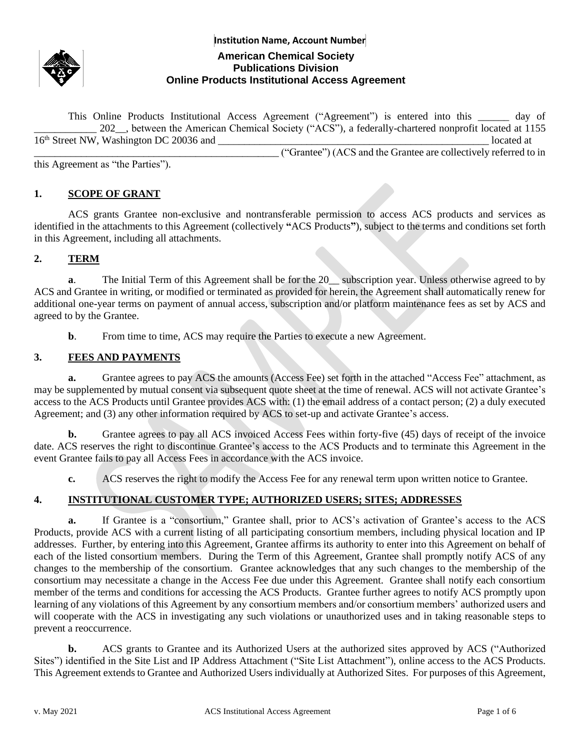

# **Institution Name, Account Number American Chemical Society Publications Division Online Products Institutional Access Agreement**

This Online Products Institutional Access Agreement ("Agreement") is entered into this \_\_\_\_\_\_ day of \_\_\_\_\_\_\_\_\_\_\_\_ 202\_\_, between the American Chemical Society ("ACS"), a federally-chartered nonprofit located at 1155  $16<sup>th</sup>$  Street NW, Washington DC 20036 and  $\overline{a}$ \_\_\_\_\_\_\_\_\_\_\_\_\_\_\_\_\_\_\_\_\_\_\_\_\_\_\_\_\_\_\_\_\_\_\_\_\_\_\_\_\_\_\_\_\_\_\_ ("Grantee") (ACS and the Grantee are collectively referred to in

this Agreement as "the Parties").

#### **1. SCOPE OF GRANT**

ACS grants Grantee non-exclusive and nontransferable permission to access ACS products and services as identified in the attachments to this Agreement (collectively **"**ACS Products**"**), subject to the terms and conditions set forth in this Agreement, including all attachments.

#### **2. TERM**

**a**. The Initial Term of this Agreement shall be for the 20\_\_ subscription year. Unless otherwise agreed to by ACS and Grantee in writing, or modified or terminated as provided for herein, the Agreement shall automatically renew for additional one-year terms on payment of annual access, subscription and/or platform maintenance fees as set by ACS and agreed to by the Grantee.

**b.** From time to time, ACS may require the Parties to execute a new Agreement.

#### **3. FEES AND PAYMENTS**

**a.** Grantee agrees to pay ACS the amounts (Access Fee) set forth in the attached "Access Fee" attachment, as may be supplemented by mutual consent via subsequent quote sheet at the time of renewal. ACS will not activate Grantee's access to the ACS Products until Grantee provides ACS with: (1) the email address of a contact person; (2) a duly executed Agreement; and (3) any other information required by ACS to set-up and activate Grantee's access.

**b.** Grantee agrees to pay all ACS invoiced Access Fees within forty-five (45) days of receipt of the invoice date. ACS reserves the right to discontinue Grantee's access to the ACS Products and to terminate this Agreement in the event Grantee fails to pay all Access Fees in accordance with the ACS invoice.

**c.** ACS reserves the right to modify the Access Fee for any renewal term upon written notice to Grantee.

## **4. INSTITUTIONAL CUSTOMER TYPE; AUTHORIZED USERS; SITES; ADDRESSES**

**a.** If Grantee is a "consortium," Grantee shall, prior to ACS's activation of Grantee's access to the ACS Products, provide ACS with a current listing of all participating consortium members, including physical location and IP addresses. Further, by entering into this Agreement, Grantee affirms its authority to enter into this Agreement on behalf of each of the listed consortium members. During the Term of this Agreement, Grantee shall promptly notify ACS of any changes to the membership of the consortium. Grantee acknowledges that any such changes to the membership of the consortium may necessitate a change in the Access Fee due under this Agreement. Grantee shall notify each consortium member of the terms and conditions for accessing the ACS Products. Grantee further agrees to notify ACS promptly upon learning of any violations of this Agreement by any consortium members and/or consortium members' authorized users and will cooperate with the ACS in investigating any such violations or unauthorized uses and in taking reasonable steps to prevent a reoccurrence.

**b.** ACS grants to Grantee and its Authorized Users at the authorized sites approved by ACS ("Authorized Sites") identified in the Site List and IP Address Attachment ("Site List Attachment"), online access to the ACS Products. This Agreement extends to Grantee and Authorized Users individually at Authorized Sites. For purposes of this Agreement,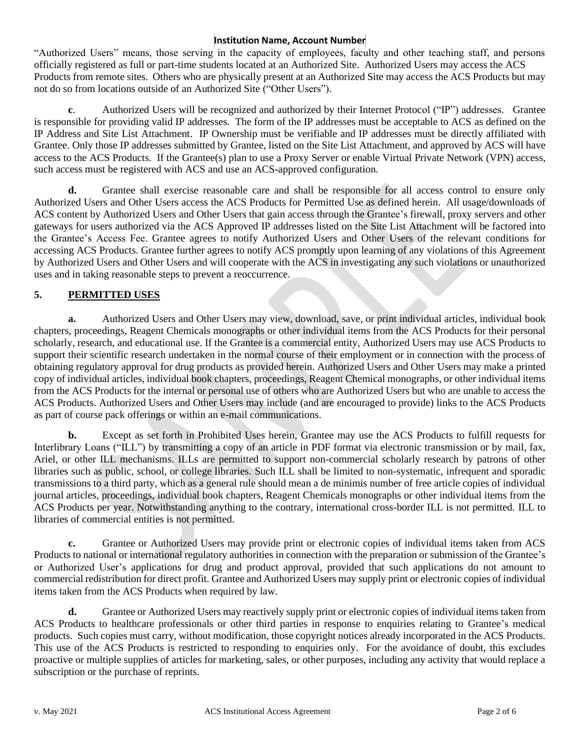#### **Institution Name, Account Number**

"Authorized Users" means, those serving in the capacity of employees, faculty and other teaching staff, and persons officially registered as full or part-time students located at an Authorized Site. Authorized Users may access the ACS Products from remote sites. Others who are physically present at an Authorized Site may access the ACS Products but may not do so from locations outside of an Authorized Site ("Other Users").

**c**. Authorized Users will be recognized and authorized by their Internet Protocol ("IP") addresses. Grantee is responsible for providing valid IP addresses. The form of the IP addresses must be acceptable to ACS as defined on the IP Address and Site List Attachment. IP Ownership must be verifiable and IP addresses must be directly affiliated with Grantee. Only those IP addresses submitted by Grantee, listed on the Site List Attachment, and approved by ACS will have access to the ACS Products. If the Grantee(s) plan to use a Proxy Server or enable Virtual Private Network (VPN) access, such access must be registered with ACS and use an ACS-approved configuration.

**d.** Grantee shall exercise reasonable care and shall be responsible for all access control to ensure only Authorized Users and Other Users access the ACS Products for Permitted Use as defined herein. All usage/downloads of ACS content by Authorized Users and Other Users that gain access through the Grantee's firewall, proxy servers and other gateways for users authorized via the ACS Approved IP addresses listed on the Site List Attachment will be factored into the Grantee's Access Fee. Grantee agrees to notify Authorized Users and Other Users of the relevant conditions for accessing ACS Products. Grantee further agrees to notify ACS promptly upon learning of any violations of this Agreement by Authorized Users and Other Users and will cooperate with the ACS in investigating any such violations or unauthorized uses and in taking reasonable steps to prevent a reoccurrence.

## **5. PERMITTED USES**

**a.** Authorized Users and Other Users may view, download, save, or print individual articles, individual book chapters, proceedings, Reagent Chemicals monographs or other individual items from the ACS Products for their personal scholarly, research, and educational use. If the Grantee is a commercial entity, Authorized Users may use ACS Products to support their scientific research undertaken in the normal course of their employment or in connection with the process of obtaining regulatory approval for drug products as provided herein. Authorized Users and Other Users may make a printed copy of individual articles, individual book chapters, proceedings, Reagent Chemical monographs, or other individual items from the ACS Products for the internal or personal use of others who are Authorized Users but who are unable to access the ACS Products. Authorized Users and Other Users may include (and are encouraged to provide) links to the ACS Products as part of course pack offerings or within an e-mail communications.

**b.** Except as set forth in Prohibited Uses herein, Grantee may use the ACS Products to fulfill requests for Interlibrary Loans ("ILL") by transmitting a copy of an article in PDF format via electronic transmission or by mail, fax, Ariel, or other ILL mechanisms. ILLs are permitted to support non-commercial scholarly research by patrons of other libraries such as public, school, or college libraries. Such ILL shall be limited to non-systematic, infrequent and sporadic transmissions to a third party, which as a general rule should mean a de minimis number of free article copies of individual journal articles, proceedings, individual book chapters, Reagent Chemicals monographs or other individual items from the ACS Products per year. Notwithstanding anything to the contrary, international cross-border ILL is not permitted. ILL to libraries of commercial entities is not permitted.

**c.** Grantee or Authorized Users may provide print or electronic copies of individual items taken from ACS Products to national or international regulatory authorities in connection with the preparation or submission of the Grantee's or Authorized User's applications for drug and product approval, provided that such applications do not amount to commercial redistribution for direct profit. Grantee and Authorized Users may supply print or electronic copies of individual items taken from the ACS Products when required by law.

**d.** Grantee or Authorized Users may reactively supply print or electronic copies of individual items taken from ACS Products to healthcare professionals or other third parties in response to enquiries relating to Grantee's medical products. Such copies must carry, without modification, those copyright notices already incorporated in the ACS Products. This use of the ACS Products is restricted to responding to enquiries only. For the avoidance of doubt, this excludes proactive or multiple supplies of articles for marketing, sales, or other purposes, including any activity that would replace a subscription or the purchase of reprints.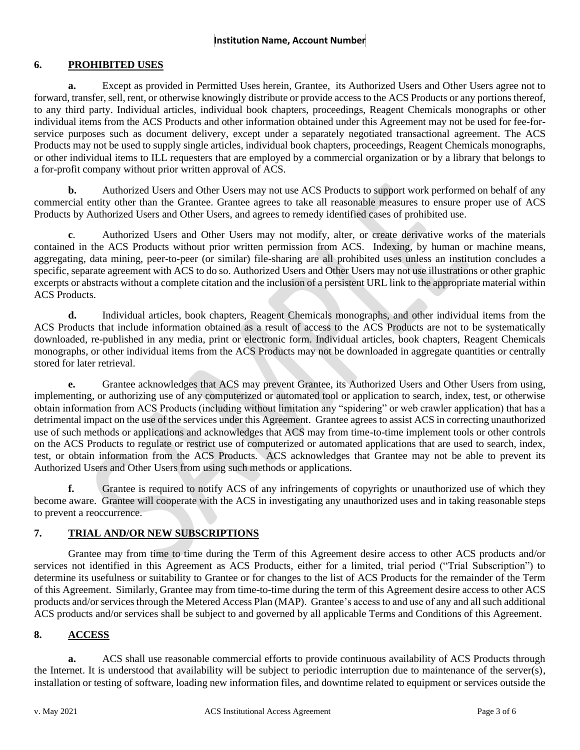## **6. PROHIBITED USES**

**a.** Except as provided in Permitted Uses herein, Grantee, its Authorized Users and Other Users agree not to forward, transfer, sell, rent, or otherwise knowingly distribute or provide access to the ACS Products or any portions thereof, to any third party. Individual articles, individual book chapters, proceedings, Reagent Chemicals monographs or other individual items from the ACS Products and other information obtained under this Agreement may not be used for fee-forservice purposes such as document delivery, except under a separately negotiated transactional agreement. The ACS Products may not be used to supply single articles, individual book chapters, proceedings, Reagent Chemicals monographs, or other individual items to ILL requesters that are employed by a commercial organization or by a library that belongs to a for-profit company without prior written approval of ACS.

**b.** Authorized Users and Other Users may not use ACS Products to support work performed on behalf of any commercial entity other than the Grantee. Grantee agrees to take all reasonable measures to ensure proper use of ACS Products by Authorized Users and Other Users, and agrees to remedy identified cases of prohibited use.

**c**. Authorized Users and Other Users may not modify, alter, or create derivative works of the materials contained in the ACS Products without prior written permission from ACS. Indexing, by human or machine means, aggregating, data mining, peer-to-peer (or similar) file-sharing are all prohibited uses unless an institution concludes a specific, separate agreement with ACS to do so. Authorized Users and Other Users may not use illustrations or other graphic excerpts or abstracts without a complete citation and the inclusion of a persistent URL link to the appropriate material within ACS Products.

**d.** Individual articles, book chapters, Reagent Chemicals monographs, and other individual items from the ACS Products that include information obtained as a result of access to the ACS Products are not to be systematically downloaded, re-published in any media, print or electronic form. Individual articles, book chapters, Reagent Chemicals monographs, or other individual items from the ACS Products may not be downloaded in aggregate quantities or centrally stored for later retrieval.

**e.** Grantee acknowledges that ACS may prevent Grantee, its Authorized Users and Other Users from using, implementing, or authorizing use of any computerized or automated tool or application to search, index, test, or otherwise obtain information from ACS Products (including without limitation any "spidering" or web crawler application) that has a detrimental impact on the use of the services under this Agreement. Grantee agrees to assist ACS in correcting unauthorized use of such methods or applications and acknowledges that ACS may from time-to-time implement tools or other controls on the ACS Products to regulate or restrict use of computerized or automated applications that are used to search, index, test, or obtain information from the ACS Products. ACS acknowledges that Grantee may not be able to prevent its Authorized Users and Other Users from using such methods or applications.

**f.** Grantee is required to notify ACS of any infringements of copyrights or unauthorized use of which they become aware. Grantee will cooperate with the ACS in investigating any unauthorized uses and in taking reasonable steps to prevent a reoccurrence.

## **7. TRIAL AND/OR NEW SUBSCRIPTIONS**

Grantee may from time to time during the Term of this Agreement desire access to other ACS products and/or services not identified in this Agreement as ACS Products, either for a limited, trial period ("Trial Subscription") to determine its usefulness or suitability to Grantee or for changes to the list of ACS Products for the remainder of the Term of this Agreement. Similarly, Grantee may from time-to-time during the term of this Agreement desire access to other ACS products and/or services through the Metered Access Plan (MAP). Grantee's access to and use of any and all such additional ACS products and/or services shall be subject to and governed by all applicable Terms and Conditions of this Agreement.

## **8. ACCESS**

**a.** ACS shall use reasonable commercial efforts to provide continuous availability of ACS Products through the Internet. It is understood that availability will be subject to periodic interruption due to maintenance of the server(s), installation or testing of software, loading new information files, and downtime related to equipment or services outside the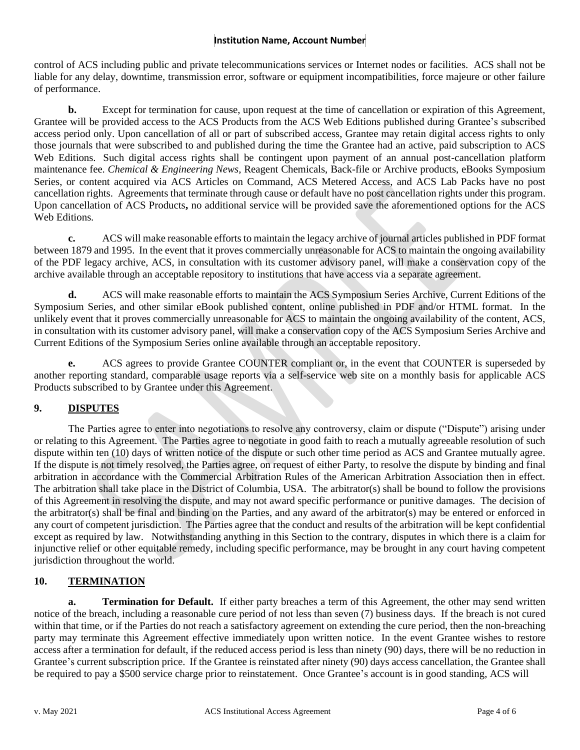### **Institution Name, Account Number**

control of ACS including public and private telecommunications services or Internet nodes or facilities. ACS shall not be liable for any delay, downtime, transmission error, software or equipment incompatibilities, force majeure or other failure of performance.

**b.** Except for termination for cause, upon request at the time of cancellation or expiration of this Agreement, Grantee will be provided access to the ACS Products from the ACS Web Editions published during Grantee's subscribed access period only. Upon cancellation of all or part of subscribed access, Grantee may retain digital access rights to only those journals that were subscribed to and published during the time the Grantee had an active, paid subscription to ACS Web Editions. Such digital access rights shall be contingent upon payment of an annual post-cancellation platform maintenance fee. *Chemical & Engineering News*, Reagent Chemicals, Back-file or Archive products, eBooks Symposium Series, or content acquired via ACS Articles on Command, ACS Metered Access, and ACS Lab Packs have no post cancellation rights. Agreements that terminate through cause or default have no post cancellation rights under this program. Upon cancellation of ACS Products**,** no additional service will be provided save the aforementioned options for the ACS Web Editions.

**c.** ACS will make reasonable efforts to maintain the legacy archive of journal articles published in PDF format between 1879 and 1995. In the event that it proves commercially unreasonable for ACS to maintain the ongoing availability of the PDF legacy archive, ACS, in consultation with its customer advisory panel, will make a conservation copy of the archive available through an acceptable repository to institutions that have access via a separate agreement.

**d.** ACS will make reasonable efforts to maintain the ACS Symposium Series Archive, Current Editions of the Symposium Series, and other similar eBook published content, online published in PDF and/or HTML format. In the unlikely event that it proves commercially unreasonable for ACS to maintain the ongoing availability of the content, ACS, in consultation with its customer advisory panel, will make a conservation copy of the ACS Symposium Series Archive and Current Editions of the Symposium Series online available through an acceptable repository.

**e.** ACS agrees to provide Grantee COUNTER compliant or, in the event that COUNTER is superseded by another reporting standard, comparable usage reports via a self-service web site on a monthly basis for applicable ACS Products subscribed to by Grantee under this Agreement.

## **9. DISPUTES**

The Parties agree to enter into negotiations to resolve any controversy, claim or dispute ("Dispute") arising under or relating to this Agreement. The Parties agree to negotiate in good faith to reach a mutually agreeable resolution of such dispute within ten (10) days of written notice of the dispute or such other time period as ACS and Grantee mutually agree. If the dispute is not timely resolved, the Parties agree, on request of either Party, to resolve the dispute by binding and final arbitration in accordance with the Commercial Arbitration Rules of the American Arbitration Association then in effect. The arbitration shall take place in the District of Columbia, USA. The arbitrator(s) shall be bound to follow the provisions of this Agreement in resolving the dispute, and may not award specific performance or punitive damages. The decision of the arbitrator(s) shall be final and binding on the Parties, and any award of the arbitrator(s) may be entered or enforced in any court of competent jurisdiction. The Parties agree that the conduct and results of the arbitration will be kept confidential except as required by law. Notwithstanding anything in this Section to the contrary, disputes in which there is a claim for injunctive relief or other equitable remedy, including specific performance, may be brought in any court having competent jurisdiction throughout the world.

## **10. TERMINATION**

**a. Termination for Default.** If either party breaches a term of this Agreement, the other may send written notice of the breach, including a reasonable cure period of not less than seven (7) business days. If the breach is not cured within that time, or if the Parties do not reach a satisfactory agreement on extending the cure period, then the non-breaching party may terminate this Agreement effective immediately upon written notice. In the event Grantee wishes to restore access after a termination for default, if the reduced access period is less than ninety (90) days, there will be no reduction in Grantee's current subscription price. If the Grantee is reinstated after ninety (90) days access cancellation, the Grantee shall be required to pay a \$500 service charge prior to reinstatement. Once Grantee's account is in good standing, ACS will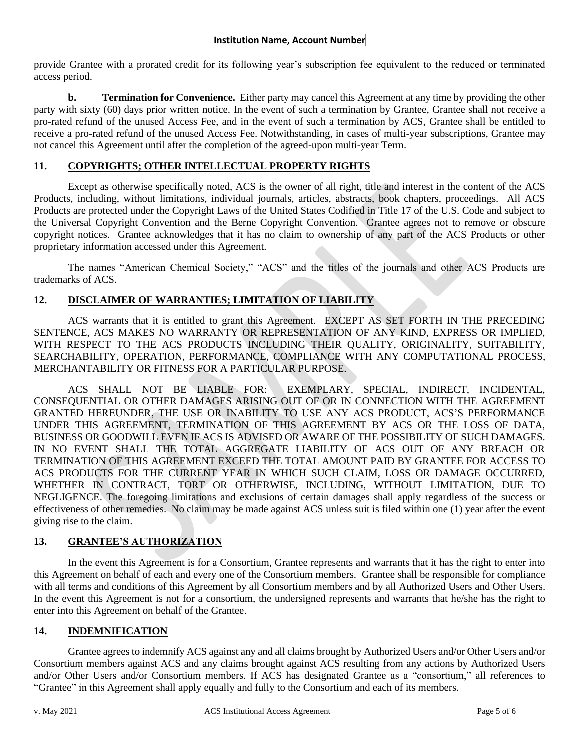#### **Institution Name, Account Number**

provide Grantee with a prorated credit for its following year's subscription fee equivalent to the reduced or terminated access period.

**b. Termination for Convenience.** Either party may cancel this Agreement at any time by providing the other party with sixty (60) days prior written notice. In the event of such a termination by Grantee, Grantee shall not receive a pro-rated refund of the unused Access Fee, and in the event of such a termination by ACS, Grantee shall be entitled to receive a pro-rated refund of the unused Access Fee. Notwithstanding, in cases of multi-year subscriptions, Grantee may not cancel this Agreement until after the completion of the agreed-upon multi-year Term.

## **11. COPYRIGHTS; OTHER INTELLECTUAL PROPERTY RIGHTS**

Except as otherwise specifically noted, ACS is the owner of all right, title and interest in the content of the ACS Products, including, without limitations, individual journals, articles, abstracts, book chapters, proceedings. All ACS Products are protected under the Copyright Laws of the United States Codified in Title 17 of the U.S. Code and subject to the Universal Copyright Convention and the Berne Copyright Convention. Grantee agrees not to remove or obscure copyright notices. Grantee acknowledges that it has no claim to ownership of any part of the ACS Products or other proprietary information accessed under this Agreement.

The names "American Chemical Society," "ACS" and the titles of the journals and other ACS Products are trademarks of ACS.

## **12. DISCLAIMER OF WARRANTIES; LIMITATION OF LIABILITY**

ACS warrants that it is entitled to grant this Agreement. EXCEPT AS SET FORTH IN THE PRECEDING SENTENCE, ACS MAKES NO WARRANTY OR REPRESENTATION OF ANY KIND, EXPRESS OR IMPLIED, WITH RESPECT TO THE ACS PRODUCTS INCLUDING THEIR OUALITY, ORIGINALITY, SUITABILITY, SEARCHABILITY, OPERATION, PERFORMANCE, COMPLIANCE WITH ANY COMPUTATIONAL PROCESS, MERCHANTABILITY OR FITNESS FOR A PARTICULAR PURPOSE.

ACS SHALL NOT BE LIABLE FOR: EXEMPLARY, SPECIAL, INDIRECT, INCIDENTAL, CONSEQUENTIAL OR OTHER DAMAGES ARISING OUT OF OR IN CONNECTION WITH THE AGREEMENT GRANTED HEREUNDER, THE USE OR INABILITY TO USE ANY ACS PRODUCT, ACS'S PERFORMANCE UNDER THIS AGREEMENT, TERMINATION OF THIS AGREEMENT BY ACS OR THE LOSS OF DATA, BUSINESS OR GOODWILL EVEN IF ACS IS ADVISED OR AWARE OF THE POSSIBILITY OF SUCH DAMAGES. IN NO EVENT SHALL THE TOTAL AGGREGATE LIABILITY OF ACS OUT OF ANY BREACH OR TERMINATION OF THIS AGREEMENT EXCEED THE TOTAL AMOUNT PAID BY GRANTEE FOR ACCESS TO ACS PRODUCTS FOR THE CURRENT YEAR IN WHICH SUCH CLAIM, LOSS OR DAMAGE OCCURRED, WHETHER IN CONTRACT, TORT OR OTHERWISE, INCLUDING, WITHOUT LIMITATION, DUE TO NEGLIGENCE. The foregoing limitations and exclusions of certain damages shall apply regardless of the success or effectiveness of other remedies. No claim may be made against ACS unless suit is filed within one (1) year after the event giving rise to the claim.

## **13. GRANTEE'S AUTHORIZATION**

In the event this Agreement is for a Consortium, Grantee represents and warrants that it has the right to enter into this Agreement on behalf of each and every one of the Consortium members. Grantee shall be responsible for compliance with all terms and conditions of this Agreement by all Consortium members and by all Authorized Users and Other Users. In the event this Agreement is not for a consortium, the undersigned represents and warrants that he/she has the right to enter into this Agreement on behalf of the Grantee.

#### **14. INDEMNIFICATION**

Grantee agrees to indemnify ACS against any and all claims brought by Authorized Users and/or Other Users and/or Consortium members against ACS and any claims brought against ACS resulting from any actions by Authorized Users and/or Other Users and/or Consortium members. If ACS has designated Grantee as a "consortium," all references to "Grantee" in this Agreement shall apply equally and fully to the Consortium and each of its members.